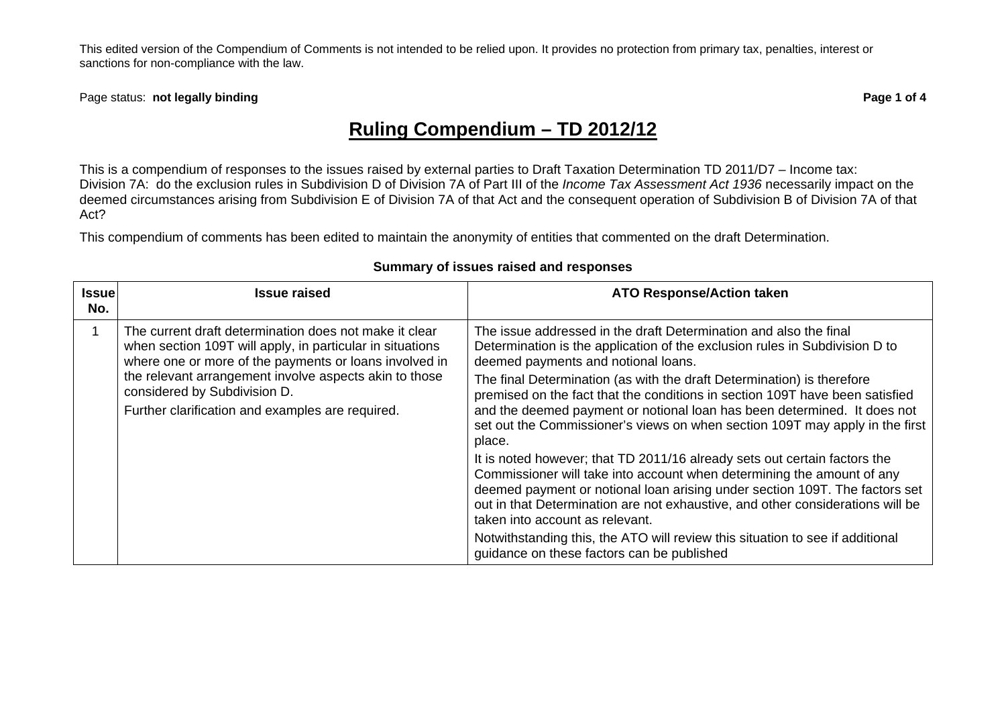Page status: **not legally binding example 20 and 20 and 20 and 20 and 20 and 20 and 20 and 20 and 20 and 20 and 20 and 20 and 20 and 20 and 20 and 20 and 20 and 20 and 20 and 20 and 20 and 20 and 20 and 20 and 20 and 20 an** 

# **Ruling Compendium – TD 2012/12**

This is a compendium of responses to the issues raised by external parties to Draft Taxation Determination TD 2011/D7 – Income tax: Division 7A: do the exclusion rules in Subdivision D of Division 7A of Part III of the *Income Tax Assessment Act 1936* necessarily impact on the deemed circumstances arising from Subdivision E of Division 7A of that Act and the consequent operation of Subdivision B of Division 7A of that Act?

This compendium of comments has been edited to maintain the anonymity of entities that commented on the draft Determination.

#### **Issue No. Issue raised ATO Response/Action taken** 1 The current draft determination does not make it clear when section 109T will apply, in particular in situations where one or more of the payments or loans involved in the relevant arrangement involve aspects akin to those considered by Subdivision D. Further clarification and examples are required. The issue addressed in the draft Determination and also the final Determination is the application of the exclusion rules in Subdivision D to deemed payments and notional loans. The final Determination (as with the draft Determination) is therefore premised on the fact that the conditions in section 109T have been satisfied and the deemed payment or notional loan has been determined. It does not set out the Commissioner's views on when section 109T may apply in the first place. It is noted however; that TD 2011/16 already sets out certain factors the Commissioner will take into account when determining the amount of any deemed payment or notional loan arising under section 109T. The factors set out in that Determination are not exhaustive, and other considerations will be taken into account as relevant. Notwithstanding this, the ATO will review this situation to see if additional guidance on these factors can be published

#### **Summary of issues raised and responses**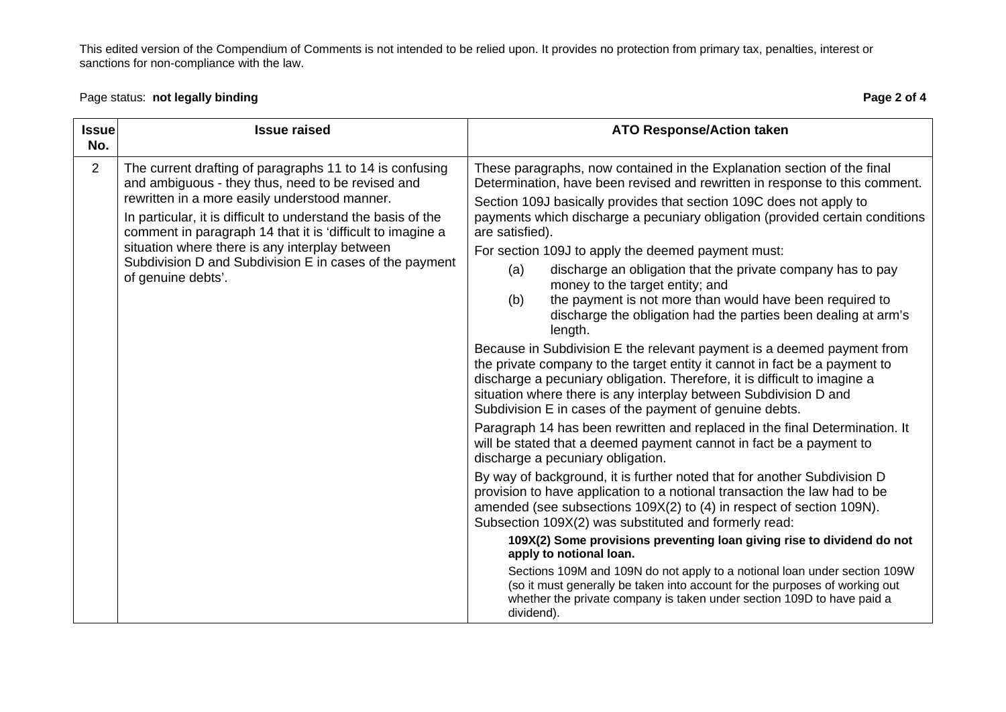# Page status: **not legally binding Page 2 of 4** and the page 2 of 4

| <b>Issue</b><br>No. | <b>Issue raised</b>                                                                                                                                                                                                                                                                                                                                                                                                              | <b>ATO Response/Action taken</b>                                                                                                                                                                                                                                                                                                                                                                                                                                                                                                                                                                                                                                                                                                                                                                                                                                                                                                                                                                                                                                                                                                                                                                                                                                                                                                                                                                                                                                                                                                                                                                                                                                                                                                                                                                                                                                  |
|---------------------|----------------------------------------------------------------------------------------------------------------------------------------------------------------------------------------------------------------------------------------------------------------------------------------------------------------------------------------------------------------------------------------------------------------------------------|-------------------------------------------------------------------------------------------------------------------------------------------------------------------------------------------------------------------------------------------------------------------------------------------------------------------------------------------------------------------------------------------------------------------------------------------------------------------------------------------------------------------------------------------------------------------------------------------------------------------------------------------------------------------------------------------------------------------------------------------------------------------------------------------------------------------------------------------------------------------------------------------------------------------------------------------------------------------------------------------------------------------------------------------------------------------------------------------------------------------------------------------------------------------------------------------------------------------------------------------------------------------------------------------------------------------------------------------------------------------------------------------------------------------------------------------------------------------------------------------------------------------------------------------------------------------------------------------------------------------------------------------------------------------------------------------------------------------------------------------------------------------------------------------------------------------------------------------------------------------|
| $\overline{2}$      | The current drafting of paragraphs 11 to 14 is confusing<br>and ambiguous - they thus, need to be revised and<br>rewritten in a more easily understood manner.<br>In particular, it is difficult to understand the basis of the<br>comment in paragraph 14 that it is 'difficult to imagine a<br>situation where there is any interplay between<br>Subdivision D and Subdivision E in cases of the payment<br>of genuine debts'. | These paragraphs, now contained in the Explanation section of the final<br>Determination, have been revised and rewritten in response to this comment.<br>Section 109J basically provides that section 109C does not apply to<br>payments which discharge a pecuniary obligation (provided certain conditions<br>are satisfied).<br>For section 109J to apply the deemed payment must:<br>discharge an obligation that the private company has to pay<br>(a)<br>money to the target entity; and<br>the payment is not more than would have been required to<br>(b)<br>discharge the obligation had the parties been dealing at arm's<br>length.<br>Because in Subdivision E the relevant payment is a deemed payment from<br>the private company to the target entity it cannot in fact be a payment to<br>discharge a pecuniary obligation. Therefore, it is difficult to imagine a<br>situation where there is any interplay between Subdivision D and<br>Subdivision E in cases of the payment of genuine debts.<br>Paragraph 14 has been rewritten and replaced in the final Determination. It<br>will be stated that a deemed payment cannot in fact be a payment to<br>discharge a pecuniary obligation.<br>By way of background, it is further noted that for another Subdivision D<br>provision to have application to a notional transaction the law had to be<br>amended (see subsections 109X(2) to (4) in respect of section 109N).<br>Subsection 109X(2) was substituted and formerly read:<br>109X(2) Some provisions preventing loan giving rise to dividend do not<br>apply to notional loan.<br>Sections 109M and 109N do not apply to a notional loan under section 109W<br>(so it must generally be taken into account for the purposes of working out<br>whether the private company is taken under section 109D to have paid a<br>dividend). |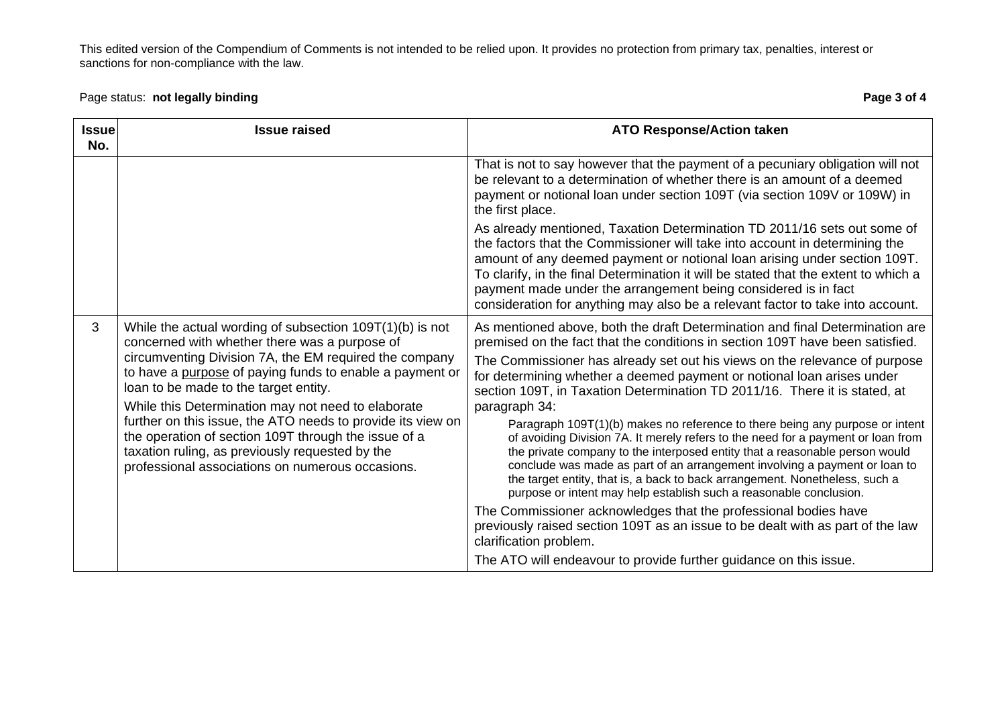### Page status: **not legally binding Page 3 of 4** and the page 3 of 4

| <b>Issue</b><br>No. | <b>Issue raised</b>                                                                                                                                                                                                                                                                                                                                                                                                                                                                                                                                            | <b>ATO Response/Action taken</b>                                                                                                                                                                                                                                                                                                                                                                                                                                                                                                                                                                                                                                                                                                                                                                                                                                                                                                                                                                                                                                                                                                                               |
|---------------------|----------------------------------------------------------------------------------------------------------------------------------------------------------------------------------------------------------------------------------------------------------------------------------------------------------------------------------------------------------------------------------------------------------------------------------------------------------------------------------------------------------------------------------------------------------------|----------------------------------------------------------------------------------------------------------------------------------------------------------------------------------------------------------------------------------------------------------------------------------------------------------------------------------------------------------------------------------------------------------------------------------------------------------------------------------------------------------------------------------------------------------------------------------------------------------------------------------------------------------------------------------------------------------------------------------------------------------------------------------------------------------------------------------------------------------------------------------------------------------------------------------------------------------------------------------------------------------------------------------------------------------------------------------------------------------------------------------------------------------------|
|                     |                                                                                                                                                                                                                                                                                                                                                                                                                                                                                                                                                                | That is not to say however that the payment of a pecuniary obligation will not<br>be relevant to a determination of whether there is an amount of a deemed<br>payment or notional loan under section 109T (via section 109V or 109W) in<br>the first place.                                                                                                                                                                                                                                                                                                                                                                                                                                                                                                                                                                                                                                                                                                                                                                                                                                                                                                    |
|                     |                                                                                                                                                                                                                                                                                                                                                                                                                                                                                                                                                                | As already mentioned, Taxation Determination TD 2011/16 sets out some of<br>the factors that the Commissioner will take into account in determining the<br>amount of any deemed payment or notional loan arising under section 109T.<br>To clarify, in the final Determination it will be stated that the extent to which a<br>payment made under the arrangement being considered is in fact<br>consideration for anything may also be a relevant factor to take into account.                                                                                                                                                                                                                                                                                                                                                                                                                                                                                                                                                                                                                                                                                |
| 3                   | While the actual wording of subsection $109T(1)(b)$ is not<br>concerned with whether there was a purpose of<br>circumventing Division 7A, the EM required the company<br>to have a purpose of paying funds to enable a payment or<br>loan to be made to the target entity.<br>While this Determination may not need to elaborate<br>further on this issue, the ATO needs to provide its view on<br>the operation of section 109T through the issue of a<br>taxation ruling, as previously requested by the<br>professional associations on numerous occasions. | As mentioned above, both the draft Determination and final Determination are<br>premised on the fact that the conditions in section 109T have been satisfied.<br>The Commissioner has already set out his views on the relevance of purpose<br>for determining whether a deemed payment or notional loan arises under<br>section 109T, in Taxation Determination TD 2011/16. There it is stated, at<br>paragraph 34:<br>Paragraph 109T(1)(b) makes no reference to there being any purpose or intent<br>of avoiding Division 7A. It merely refers to the need for a payment or loan from<br>the private company to the interposed entity that a reasonable person would<br>conclude was made as part of an arrangement involving a payment or loan to<br>the target entity, that is, a back to back arrangement. Nonetheless, such a<br>purpose or intent may help establish such a reasonable conclusion.<br>The Commissioner acknowledges that the professional bodies have<br>previously raised section 109T as an issue to be dealt with as part of the law<br>clarification problem.<br>The ATO will endeavour to provide further guidance on this issue. |